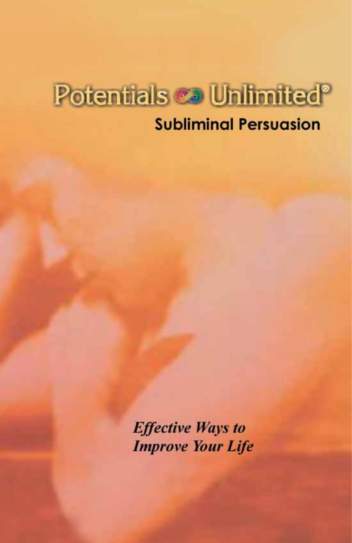# Potentials co Unlimited<sup>®</sup>

# **Subliminal Persuasion**

**Effective Ways to Improve Your Life**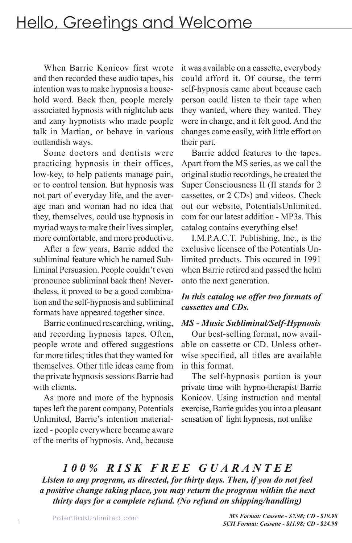# Hello, Greetings and Welcome

When Barrie Konicov first wrote and then recorded these audio tapes, his intention was to make hypnosis a household word. Back then, people merely associated hypnosis with nightclub acts and zany hypnotists who made people talk in Martian, or behave in various outlandish ways.

Some doctors and dentists were practicing hypnosis in their offices, low-key, to help patients manage pain, or to control tension. But hypnosis was not part of everyday life, and the average man and woman had no idea that they, themselves, could use hypnosis in myriad ways to make their lives simpler, more comfortable, and more productive.

After a few years, Barrie added the subliminal feature which he named Subliminal Persuasion. People couldn't even pronounce subliminal back then! Nevertheless, it proved to be a good combination and the self-hypnosis and subliminal formats have appeared together since.

Barrie continued researching, writing, and recording hypnosis tapes. Often, people wrote and offered suggestions for more titles; titles that they wanted for themselves. Other title ideas came from the private hypnosis sessions Barrie had with clients.

As more and more of the hypnosis tapes left the parent company, Potentials Unlimited, Barrie's intention materialized - people everywhere became aware of the merits of hypnosis. And, because it was available on a cassette, everybody could afford it. Of course, the term self-hypnosis came about because each person could listen to their tape when they wanted, where they wanted. They were in charge, and it felt good. And the changes came easily, with little effort on their part.

Barrie added features to the tapes. Apart from the MS series, as we call the original studio recordings, he created the Super Consciousness II (II stands for 2 cassettes, or 2 CDs) and videos. Check out our website, PotentialsUnlimited. com for our latest addition - MP3s. This catalog contains everything else!

I.M.P.A.C.T. Publishing, Inc., is the exclusive licensee of the Potentials Unlimited products. This occured in 1991 when Barrie retired and passed the helm onto the next generation.

#### *In this catalog we offer two formats of cassettes and CDs.*

#### *MS - Music Subliminal/Self-Hypnosis*

Our best-selling format, now available on cassette or CD. Unless otherwise specified, all titles are available in this format.

The self-hypnosis portion is your private time with hypno-therapist Barrie Konicov. Using instruction and mental exercise, Barrie guides you into a pleasant sensation of light hypnosis, not unlike

# *1 0 0 % R I S K F R E E G U A R A N T E E*

*Listen to any program, as directed, for thirty days. Then, if you do not feel a positive change taking place, you may return the program within the next thirty days for a complete refund. (No refund on shipping/handling)*

1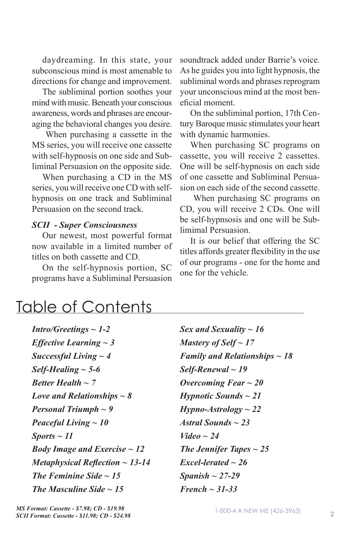daydreaming. In this state, your subconscious mind is most amenable to directions for change and improvement.

The subliminal portion soothes your mind with music. Beneath your conscious awareness, words and phrases are encouraging the behavioral changes you desire.

 When purchasing a cassette in the MS series, you will receive one cassette with self-hypnosis on one side and Subliminal Persuasion on the opposite side.

When purchasing a CD in the MS series, you will receive one CD with selfhypnosis on one track and Subliminal Persuasion on the second track.

#### *SCII - Super Consciousness*

Our newest, most powerful format now available in a limited number of titles on both cassette and CD.

On the self-hypnosis portion, SC programs have a Subliminal Persuasion soundtrack added under Barrie's voice. As he guides you into light hypnosis, the subliminal words and phrases reprogram your unconscious mind at the most beneficial moment.

On the subliminal portion, 17th Century Baroque music stimulates your heart with dynamic harmonies.

When purchasing SC programs on cassette, you will receive 2 cassettes. One will be self-hypnosis on each side of one cassette and Subliminal Persuasion on each side of the second cassette.

 When purchasing SC programs on CD, you will receive 2 CDs. One will be self-hypnsosis and one will be Sublimimal Persuasion.

It is our belief that offering the SC titles affords greater flexibility in the use of our programs - one for the home and one for the vehicle.

# Table of Contents

| $Intro/Greetings \sim 1-2$               |
|------------------------------------------|
| <i>Effective Learning</i> $\sim$ 3       |
| Successful Living $\sim$ 4               |
| Self-Healing $\sim$ 5-6                  |
| Better Health $\sim$ 7                   |
| Love and Relationships $\sim$ 8          |
| <b>Personal Triumph</b> $\sim$ 9         |
| Peaceful Living $\sim 10$                |
| $Sports \sim 11$                         |
| <b>Body Image and Exercise</b> $\sim$ 12 |
| Metaphysical Reflection $\sim$ 13-14     |
| The Feminine Side $\sim$ 15              |
| The Masculine Side $\sim$ 15             |

*Sex and Sexuality ~ 16 Mastery of Self ~ 17 Family and Relationships ~ 18 Self-Renewal ~ 19 Overcoming Fear ~ 20 Hypnotic Sounds ~ 21 Hypno-Astrology ~ 22 Astral Sounds ~ 23 Video ~ 24 The Jennifer Tapes ~ 25 Excel-lerated ~ 26 Spanish ~ 27-29 French ~ 31-33*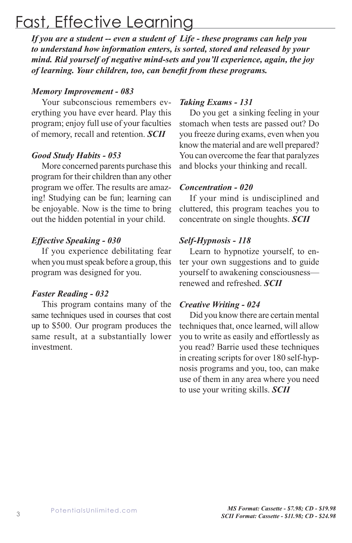# Fast, Effective Learning

*If you are a student -- even a student of Life - these programs can help you to understand how information enters, is sorted, stored and released by your mind. Rid yourself of negative mind-sets and you'll experience, again, the joy of learning. Your children, too, can benefit from these programs.* 

#### *Memory Improvement - 083*

Your subconscious remembers everything you have ever heard. Play this program; enjoy full use of your faculties of memory, recall and retention. *SCII*

#### *Good Study Habits - 053*

More concerned parents purchase this program for their children than any other program we offer. The results are amazing! Studying can be fun; learning can be enjoyable. Now is the time to bring out the hidden potential in your child.

### *Effective Speaking - 030*

If you experience debilitating fear when you must speak before a group, this program was designed for you.

#### *Faster Reading - 032*

This program contains many of the same techniques used in courses that cost up to \$500. Our program produces the same result, at a substantially lower investment.

#### *Taking Exams - 131*

Do you get a sinking feeling in your stomach when tests are passed out? Do you freeze during exams, even when you know the material and are well prepared? You can overcome the fear that paralyzes and blocks your thinking and recall.

#### *Concentration - 020*

If your mind is undisciplined and cluttered, this program teaches you to concentrate on single thoughts. *SCII*

### *Self-Hypnosis - 118*

Learn to hypnotize yourself, to enter your own suggestions and to guide yourself to awakening consciousness renewed and refreshed. *SCII*

#### *Creative Writing - 024*

Did you know there are certain mental techniques that, once learned, will allow you to write as easily and effortlessly as you read? Barrie used these techniques in creating scripts for over 180 self-hypnosis programs and you, too, can make use of them in any area where you need to use your writing skills. *SCII*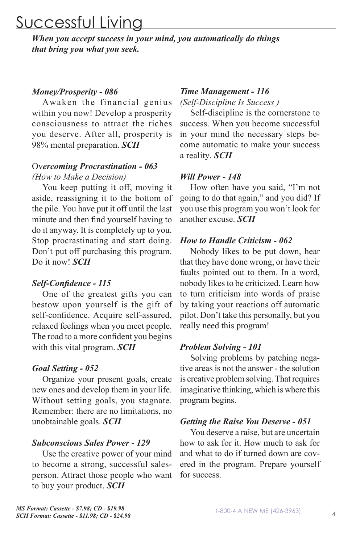# Successful Living

*When you accept success in your mind, you automatically do things that bring you what you seek.*

#### *Money/Prosperity - 086*

Awaken the financial genius within you now! Develop a prosperity consciousness to attract the riches you deserve. After all, prosperity is 98% mental preparation. *SCII*

### Ov*ercoming Procrastination - 063 (How to Make a Decision)*

You keep putting it off, moving it aside, reassigning it to the bottom of the pile. You have put it off until the last minute and then find yourself having to do it anyway. It is completely up to you. Stop procrastinating and start doing. Don't put off purchasing this program. Do it now! *SCII*

#### *Self-Confidence - 115*

One of the greatest gifts you can bestow upon yourself is the gift of self-confidence. Acquire self-assured, relaxed feelings when you meet people. The road to a more confident you begins with this vital program. *SCII*

#### *Goal Setting - 052*

Organize your present goals, create new ones and develop them in your life. Without setting goals, you stagnate. Remember: there are no limitations, no unobtainable goals. *SCII*

#### *Subconscious Sales Power - 129*

Use the creative power of your mind to become a strong, successful salesperson. Attract those people who want to buy your product. *SCII*

#### *Time Management - 116*

*(Self-Discipline Is Success )*

Self-discipline is the cornerstone to success. When you become successful in your mind the necessary steps become automatic to make your success a reality. *SCII*

#### *Will Power - 148*

How often have you said, "I'm not going to do that again," and you did? If you use this program you won't look for another excuse. *SCII*

#### *How to Handle Criticism - 062*

Nobody likes to be put down, hear that they have done wrong, or have their faults pointed out to them. In a word, nobody likes to be criticized. Learn how to turn criticism into words of praise by taking your reactions off automatic pilot. Don't take this personally, but you really need this program!

#### *Problem Solving - 101*

Solving problems by patching negative areas is not the answer - the solution is creative problem solving. That requires imaginative thinking, which is where this program begins.

#### *Getting the Raise You Deserve - 051*

You deserve a raise, but are uncertain how to ask for it. How much to ask for and what to do if turned down are covered in the program. Prepare yourself for success.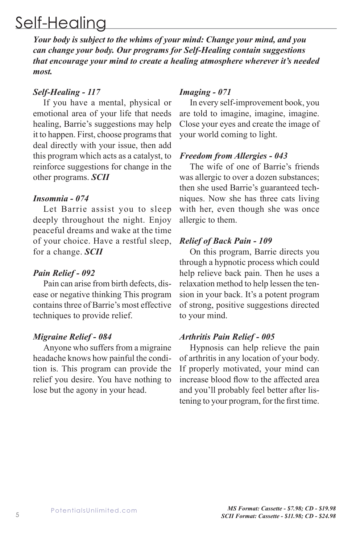# Self-Healing

*Your body is subject to the whims of your mind: Change your mind, and you can change your body. Our programs for Self-Healing contain suggestions that encourage your mind to create a healing atmosphere wherever it's needed most.*

#### *Self-Healing - 117*

If you have a mental, physical or emotional area of your life that needs healing, Barrie's suggestions may help it to happen. First, choose programs that deal directly with your issue, then add this program which acts as a catalyst, to reinforce suggestions for change in the other programs. *SCII*

#### *Insomnia - 074*

Let Barrie assist you to sleep deeply throughout the night. Enjoy peaceful dreams and wake at the time of your choice. Have a restful sleep, for a change. *SCII*

#### *Pain Relief - 092*

Pain can arise from birth defects, disease or negative thinking This program contains three of Barrie's most effective techniques to provide relief.

#### *Migraine Relief - 084*

Anyone who suffers from a migraine headache knows how painful the condition is. This program can provide the relief you desire. You have nothing to lose but the agony in your head.

#### *Imaging - 071*

In every self-improvement book, you are told to imagine, imagine, imagine. Close your eyes and create the image of your world coming to light.

#### *Freedom from Allergies - 043*

The wife of one of Barrie's friends was allergic to over a dozen substances; then she used Barrie's guaranteed techniques. Now she has three cats living with her, even though she was once allergic to them.

#### *Relief of Back Pain - 109*

On this program, Barrie directs you through a hypnotic process which could help relieve back pain. Then he uses a relaxation method to help lessen the tension in your back. It's a potent program of strong, positive suggestions directed to your mind.

#### *Arthritis Pain Relief - 005*

Hypnosis can help relieve the pain of arthritis in any location of your body. If properly motivated, your mind can increase blood flow to the affected area and you'll probably feel better after listening to your program, for the first time.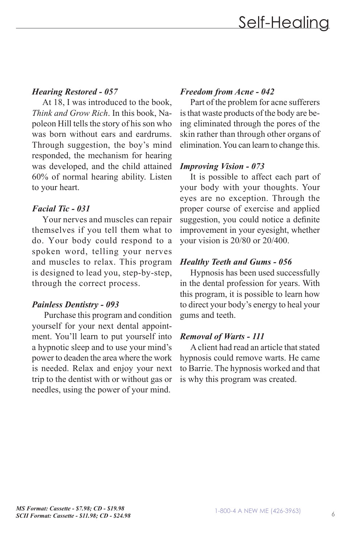# *Hearing Restored - 057*

At 18, I was introduced to the book, *Think and Grow Rich*. In this book, Napoleon Hill tells the story of his son who was born without ears and eardrums. Through suggestion, the boy's mind responded, the mechanism for hearing was developed, and the child attained 60% of normal hearing ability. Listen to your heart.

# *Facial Tic - 031*

Your nerves and muscles can repair themselves if you tell them what to do. Your body could respond to a spoken word, telling your nerves and muscles to relax. This program is designed to lead you, step-by-step, through the correct process.

# *Painless Dentistry - 093*

 Purchase this program and condition yourself for your next dental appointment. You'll learn to put yourself into a hypnotic sleep and to use your mind's power to deaden the area where the work is needed. Relax and enjoy your next trip to the dentist with or without gas or needles, using the power of your mind.

# *Freedom from Acne - 042*

Part of the problem for acne sufferers is that waste products of the body are being eliminated through the pores of the skin rather than through other organs of elimination. You can learn to change this.

# *Improving Vision - 073*

It is possible to affect each part of your body with your thoughts. Your eyes are no exception. Through the proper course of exercise and applied suggestion, you could notice a definite improvement in your eyesight, whether your vision is 20/80 or 20/400.

# *Healthy Teeth and Gums - 056*

Hypnosis has been used successfully in the dental profession for years. With this program, it is possible to learn how to direct your body's energy to heal your gums and teeth.

# *Removal of Warts - 111*

A client had read an article that stated hypnosis could remove warts. He came to Barrie. The hypnosis worked and that is why this program was created.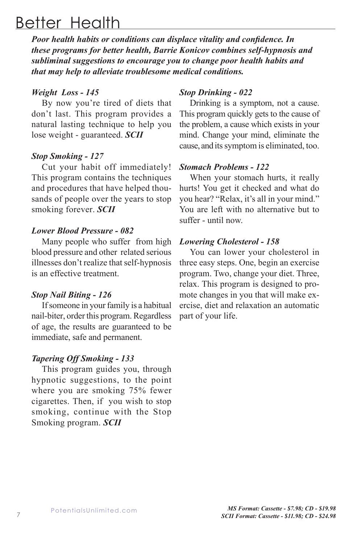# Better Health

*Poor health habits or conditions can displace vitality and confidence. In these programs for better health, Barrie Konicov combines self-hypnosis and subliminal suggestions to encourage you to change poor health habits and that may help to alleviate troublesome medical conditions.* 

#### *Weight Loss - 145*

By now you're tired of diets that don't last. This program provides a natural lasting technique to help you lose weight - guaranteed. *SCII*

#### *Stop Smoking - 127*

Cut your habit off immediately! This program contains the techniques and procedures that have helped thousands of people over the years to stop smoking forever. *SCII*

#### *Lower Blood Pressure - 082*

Many people who suffer from high blood pressure and other related serious illnesses don't realize that self-hypnosis is an effective treatment.

#### *Stop Nail Biting - 126*

If someone in your family is a habitual nail-biter, order this program. Regardless of age, the results are guaranteed to be immediate, safe and permanent.

#### *Tapering Off Smoking - 133*

This program guides you, through hypnotic suggestions, to the point where you are smoking 75% fewer cigarettes. Then, if you wish to stop smoking, continue with the Stop Smoking program. *SCII*

### *Stop Drinking - 022*

Drinking is a symptom, not a cause. This program quickly gets to the cause of the problem, a cause which exists in your mind. Change your mind, eliminate the cause, and its symptom is eliminated, too.

#### *Stomach Problems - 122*

When your stomach hurts, it really hurts! You get it checked and what do you hear? "Relax, it's all in your mind." You are left with no alternative but to suffer - until now.

#### *Lowering Cholesterol - 158*

You can lower your cholesterol in three easy steps. One, begin an exercise program. Two, change your diet. Three, relax. This program is designed to promote changes in you that will make exercise, diet and relaxation an automatic part of your life.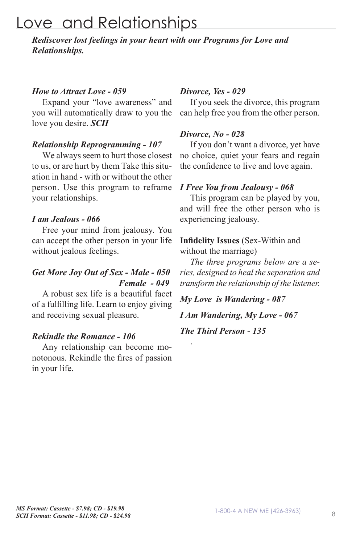# Love and Relationships

*Rediscover lost feelings in your heart with our Programs for Love and Relationships.*

#### *How to Attract Love - 059*

Expand your "love awareness" and you will automatically draw to you the love you desire. *SCII*

#### *Relationship Reprogramming - 107*

We always seem to hurt those closest to us, or are hurt by them Take this situation in hand - with or without the other person. Use this program to reframe your relationships.

#### *I am Jealous - 066*

Free your mind from jealousy. You can accept the other person in your life without jealous feelings.

### *Get More Joy Out of Sex - Male - 050 Female - 049*

A robust sex life is a beautiful facet of a fulfilling life. Learn to enjoy giving and receiving sexual pleasure.

#### *Rekindle the Romance - 106*

Any relationship can become monotonous. Rekindle the fires of passion in your life.

#### *Divorce, Yes - 029*

If you seek the divorce, this program can help free you from the other person.

#### *Divorce, No - 028*

If you don't want a divorce, yet have no choice, quiet your fears and regain the confidence to live and love again.

#### *I Free You from Jealousy - 068*

This program can be played by you, and will free the other person who is experiencing jealousy.

#### **Infidelity Issues** (Sex-Within and without the marriage)

*The three programs below are a series, designed to heal the separation and transform the relationship of the listener.*

*My Love is Wandering - 087*

*I Am Wandering, My Love - 067*

*The Third Person - 135*

.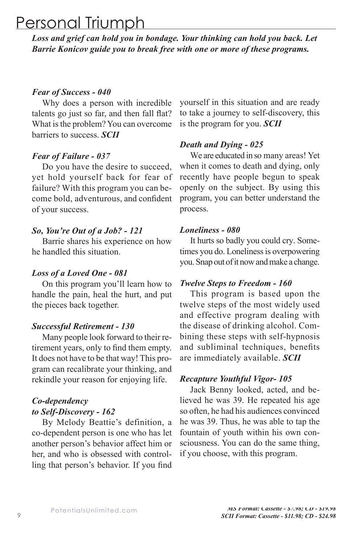# Personal Triumph

*Loss and grief can hold you in bondage. Your thinking can hold you back. Let Barrie Konicov guide you to break free with one or more of these programs.*

#### *Fear of Success - 040*

Why does a person with incredible talents go just so far, and then fall flat? What is the problem? You can overcome barriers to success. *SCII*

#### *Fear of Failure - 037*

Do you have the desire to succeed, yet hold yourself back for fear of failure? With this program you can become bold, adventurous, and confident of your success.

#### *So, You're Out of a Job? - 121*

Barrie shares his experience on how he handled this situation.

#### *Loss of a Loved One - 081*

On this program you'll learn how to handle the pain, heal the hurt, and put the pieces back together.

#### *Successful Retirement - 130*

Many people look forward to their retirement years, only to find them empty. It does not have to be that way! This program can recalibrate your thinking, and rekindle your reason for enjoying life.

### *Co-dependency to Self-Discovery - 162*

By Melody Beattie's definition, a co-dependent person is one who has let another person's behavior affect him or her, and who is obsessed with controlling that person's behavior. If you find

yourself in this situation and are ready to take a journey to self-discovery, this is the program for you. *SCII*

#### *Death and Dying - 025*

We are educated in so many areas! Yet when it comes to death and dying, only recently have people begun to speak openly on the subject. By using this program, you can better understand the process.

#### *Loneliness - 080*

It hurts so badly you could cry. Sometimes you do. Loneliness is overpowering you. Snap out of it now and make a change.

#### *Twelve Steps to Freedom - 160*

This program is based upon the twelve steps of the most widely used and effective program dealing with the disease of drinking alcohol. Combining these steps with self-hypnosis and subliminal techniques, benefits are immediately available. *SCII*

#### *Recapture Youthful Vigor- 105*

Jack Benny looked, acted, and believed he was 39. He repeated his age so often, he had his audiences convinced he was 39. Thus, he was able to tap the fountain of youth within his own consciousness. You can do the same thing, if you choose, with this program.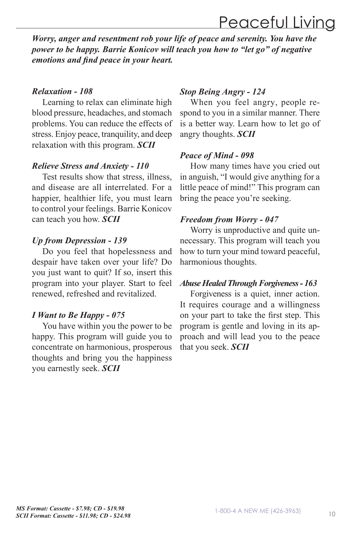# Peaceful Living

*Worry, anger and resentment rob your life of peace and serenity. You have the power to be happy. Barrie Konicov will teach you how to "let go" of negative emotions and find peace in your heart.*

#### *Relaxation - 108*

Learning to relax can eliminate high blood pressure, headaches, and stomach problems. You can reduce the effects of stress. Enjoy peace, tranquility, and deep relaxation with this program. *SCII*

#### *Relieve Stress and Anxiety - 110*

Test results show that stress, illness, and disease are all interrelated. For a happier, healthier life, you must learn to control your feelings. Barrie Konicov can teach you how. *SCII*

#### *Up from Depression - 139*

Do you feel that hopelessness and despair have taken over your life? Do you just want to quit? If so, insert this program into your player. Start to feel renewed, refreshed and revitalized.

#### *I Want to Be Happy - 075*

You have within you the power to be happy. This program will guide you to concentrate on harmonious, prosperous thoughts and bring you the happiness you earnestly seek. *SCII*

#### *Stop Being Angry - 124*

When you feel angry, people respond to you in a similar manner. There is a better way. Learn how to let go of angry thoughts. *SCII*

#### *Peace of Mind - 098*

How many times have you cried out in anguish, "I would give anything for a little peace of mind!" This program can bring the peace you're seeking.

#### *Freedom from Worry - 047*

Worry is unproductive and quite unnecessary. This program will teach you how to turn your mind toward peaceful, harmonious thoughts.

#### *Abuse Healed Through Forgiveness - 163*

Forgiveness is a quiet, inner action. It requires courage and a willingness on your part to take the first step. This program is gentle and loving in its approach and will lead you to the peace that you seek. *SCII*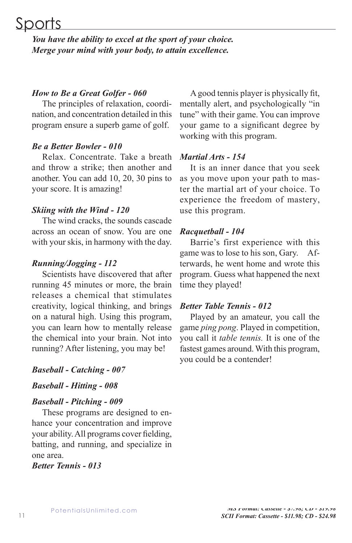# Sports

*You have the ability to excel at the sport of your choice. Merge your mind with your body, to attain excellence.* 

#### *How to Be a Great Golfer - 060*

The principles of relaxation, coordination, and concentration detailed in this program ensure a superb game of golf.

#### *Be a Better Bowler - 010*

Relax. Concentrate. Take a breath and throw a strike; then another and another. You can add 10, 20, 30 pins to your score. It is amazing!

#### *Skiing with the Wind - 120*

The wind cracks, the sounds cascade across an ocean of snow. You are one with your skis, in harmony with the day.

#### *Running/Jogging - 112*

Scientists have discovered that after running 45 minutes or more, the brain releases a chemical that stimulates creativity, logical thinking, and brings on a natural high. Using this program, you can learn how to mentally release the chemical into your brain. Not into running? After listening, you may be!

#### *Baseball - Catching - 007*

*Baseball - Hitting - 008*

#### *Baseball - Pitching - 009*

These programs are designed to enhance your concentration and improve your ability. All programs cover fielding, batting, and running, and specialize in one area.

*Better Tennis - 013*

A good tennis player is physically fit, mentally alert, and psychologically "in tune" with their game. You can improve your game to a significant degree by working with this program.

#### *Martial Arts - 154*

It is an inner dance that you seek as you move upon your path to master the martial art of your choice. To experience the freedom of mastery, use this program.

#### *Racquetball - 104*

Barrie's first experience with this game was to lose to his son, Gary. Afterwards, he went home and wrote this program. Guess what happened the next time they played!

#### *Better Table Tennis - 012*

Played by an amateur, you call the game *ping pong*. Played in competition, you call it *table tennis.* It is one of the fastest games around. With this program, you could be a contender!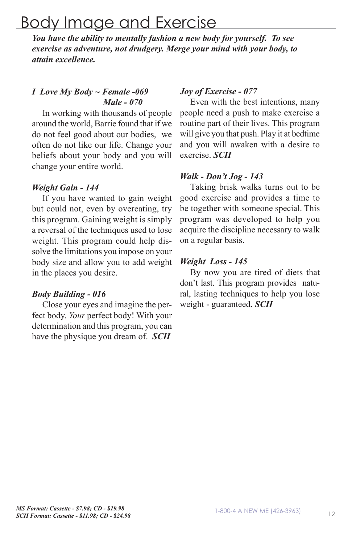# Body Image and Exercise

*You have the ability to mentally fashion a new body for yourself. To see exercise as adventure, not drudgery. Merge your mind with your body, to attain excellence.* 

### *I Love My Body ~ Female -069 Male - 070*

In working with thousands of people around the world, Barrie found that if we do not feel good about our bodies, we often do not like our life. Change your beliefs about your body and you will change your entire world.

#### *Weight Gain - 144*

If you have wanted to gain weight but could not, even by overeating, try this program. Gaining weight is simply a reversal of the techniques used to lose weight. This program could help dissolve the limitations you impose on your body size and allow you to add weight in the places you desire.

#### *Body Building - 016*

Close your eyes and imagine the perfect body. *Your* perfect body! With your determination and this program, you can have the physique you dream of. *SCII*

#### *Joy of Exercise - 077*

Even with the best intentions, many people need a push to make exercise a routine part of their lives. This program will give you that push. Play it at bedtime and you will awaken with a desire to exercise. *SCII*

#### *Walk - Don't Jog - 143*

Taking brisk walks turns out to be good exercise and provides a time to be together with someone special. This program was developed to help you acquire the discipline necessary to walk on a regular basis.

#### *Weight Loss - 145*

By now you are tired of diets that don't last. This program provides natural, lasting techniques to help you lose weight - guaranteed. *SCII*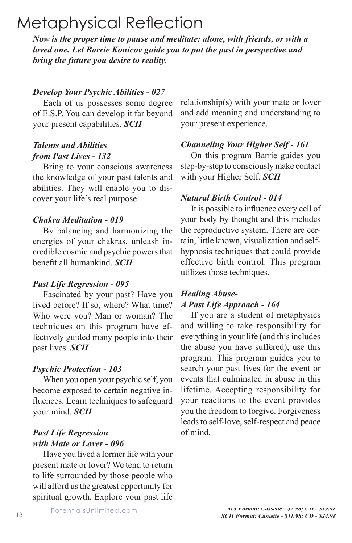# Metaphysical Reflection

*Now is the proper time to pause and meditate: alone, with friends, or with a loved one. Let Barrie Konicov guide you to put the past in perspective and bring the future you desire to reality.*

#### *Develop Your Psychic Abilities - 027*

Each of us possesses some degree of E.S.P. You can develop it far beyond your present capabilities. *SCII*

### *Talents and Abilities from Past Lives - 132*

Bring to your conscious awareness the knowledge of your past talents and abilities. They will enable you to discover your life's real purpose.

#### *Chakra Meditation - 019*

By balancing and harmonizing the energies of your chakras, unleash incredible cosmic and psychic powers that benefit all humankind. *SCII*

#### *Past Life Regression - 095*

Fascinated by your past? Have you lived before? If so, where? What time? Who were you? Man or woman? The techniques on this program have effectively guided many people into their past lives. *SCII*

#### *Psychic Protection - 103*

When you open your psychic self, you become exposed to certain negative influences. Learn techniques to safeguard your mind. *SCII*

### *Past Life Regression with Mate or Lover - 096*

Have you lived a former life with your present mate or lover? We tend to return to life surrounded by those people who will afford us the greatest opportunity for spiritual growth. Explore your past life relationship(s) with your mate or lover and add meaning and understanding to your present experience.

#### *Channeling Your Higher Self - 161*

On this program Barrie guides you step-by-step to consciously make contact with your Higher Self. *SCII*

#### *Natural Birth Control - 014*

It is possible to influence every cell of your body by thought and this includes the reproductive system. There are certain, little known, visualization and selfhypnosis techniques that could provide effective birth control. This program utilizes those techniques.

#### *Healing Abuse-A Past Life Approach - 164*

If you are a student of metaphysics and willing to take responsibility for everything in your life (and this includes the abuse you have suffered), use this program. This program guides you to search your past lives for the event or events that culminated in abuse in this lifetime. Accepting responsibility for your reactions to the event provides you the freedom to forgive. Forgiveness leads to self-love, self-respect and peace of mind.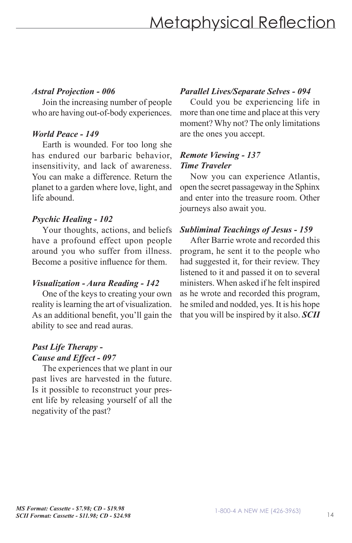#### *Astral Projection - 006*

Join the increasing number of people who are having out-of-body experiences.

### *World Peace - 149*

Earth is wounded. For too long she has endured our barbaric behavior, insensitivity, and lack of awareness. You can make a difference. Return the planet to a garden where love, light, and life abound.

### *Psychic Healing - 102*

Your thoughts, actions, and beliefs have a profound effect upon people around you who suffer from illness. Become a positive influence for them.

### *Visualization - Aura Reading - 142*

One of the keys to creating your own reality is learning the art of visualization. As an additional benefit, you'll gain the ability to see and read auras.

### *Past Life Therapy - Cause and Effect - 097*

The experiences that we plant in our past lives are harvested in the future. Is it possible to reconstruct your present life by releasing yourself of all the negativity of the past?

### *Parallel Lives/Separate Selves - 094*

Could you be experiencing life in more than one time and place at this very moment? Why not? The only limitations are the ones you accept.

#### *Remote Viewing - 137 Time Traveler*

Now you can experience Atlantis, open the secret passageway in the Sphinx and enter into the treasure room. Other journeys also await you.

### *Subliminal Teachings of Jesus - 159*

After Barrie wrote and recorded this program, he sent it to the people who had suggested it, for their review. They listened to it and passed it on to several ministers. When asked if he felt inspired as he wrote and recorded this program, he smiled and nodded, yes. It is his hope that you will be inspired by it also. *SCII*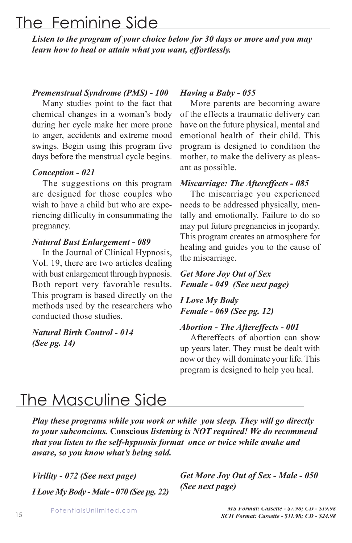# The Feminine Side

*Listen to the program of your choice below for 30 days or more and you may learn how to heal or attain what you want, effortlessly.*

#### *Premenstrual Syndrome (PMS) - 100*

Many studies point to the fact that chemical changes in a woman's body during her cycle make her more prone to anger, accidents and extreme mood swings. Begin using this program five days before the menstrual cycle begins.

#### *Conception - 021*

The suggestions on this program are designed for those couples who wish to have a child but who are experiencing difficulty in consummating the pregnancy.

#### *Natural Bust Enlargement - 089*

In the Journal of Clinical Hypnosis, Vol. 19, there are two articles dealing with bust enlargement through hypnosis. Both report very favorable results. This program is based directly on the methods used by the researchers who conducted those studies.

#### *Natural Birth Control - 014 (See pg. 14)*

#### *Having a Baby - 055*

More parents are becoming aware of the effects a traumatic delivery can have on the future physical, mental and emotional health of their child. This program is designed to condition the mother, to make the delivery as pleasant as possible.

#### *Miscarriage: The Aftereffects - 085*

The miscarriage you experienced needs to be addressed physically, mentally and emotionally. Failure to do so may put future pregnancies in jeopardy. This program creates an atmosphere for healing and guides you to the cause of the miscarriage.

#### *Get More Joy Out of Sex Female - 049 (See next page)*

*I Love My Body Female - 069 (See pg. 12)*

#### *Abortion - The Aftereffects - 001*

Aftereffects of abortion can show up years later. They must be dealt with now or they will dominate your life. This program is designed to help you heal.

# The Masculine Side

*Play these programs while you work or while you sleep. They will go directly to your subconcious.* **Conscious** *listening is NOT required! We do recommend that you listen to the self-hypnosis format once or twice while awake and aware, so you know what's being said.*

*Virility - 072 (See next page) I Love My Body - Male - 070 (See pg. 22)*

*Get More Joy Out of Sex - Male - 050 (See next page)*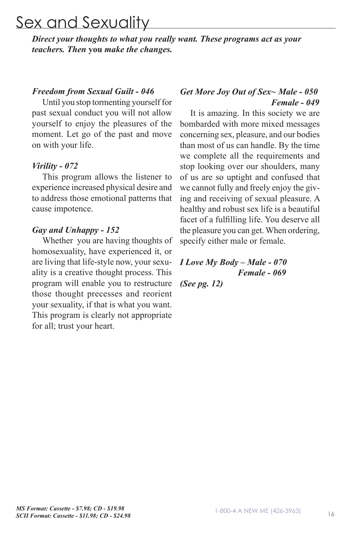# Sex and Sexuality

*Direct your thoughts to what you really want. These programs act as your teachers. Then* **you** *make the changes.*

#### *Freedom from Sexual Guilt - 046*

Until you stop tormenting yourself for past sexual conduct you will not allow yourself to enjoy the pleasures of the moment. Let go of the past and move on with your life.

#### *Virility - 072*

This program allows the listener to experience increased physical desire and to address those emotional patterns that cause impotence.

#### *Gay and Unhappy - 152*

Whether you are having thoughts of homosexuality, have experienced it, or are living that life-style now, your sexuality is a creative thought process. This program will enable you to restructure those thought precesses and reorient your sexuality, if that is what you want. This program is clearly not appropriate for all; trust your heart.

#### *Get More Joy Out of Sex~ Male - 050 Female - 049*

It is amazing. In this society we are bombarded with more mixed messages concerning sex, pleasure, and our bodies than most of us can handle. By the time we complete all the requirements and stop looking over our shoulders, many of us are so uptight and confused that we cannot fully and freely enjoy the giving and receiving of sexual pleasure. A healthy and robust sex life is a beautiful facet of a fulfilling life. You deserve all the pleasure you can get. When ordering, specify either male or female.

# *I Love My Body – Male - 070 Female - 069*

*(See pg. 12)*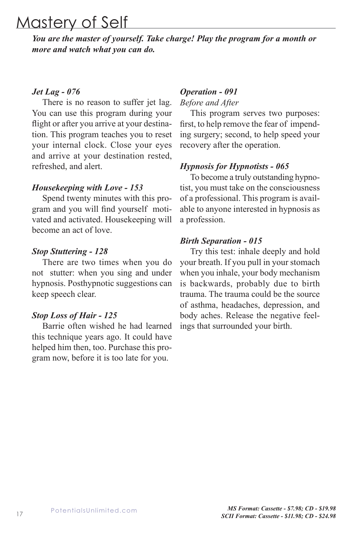# Mastery of Self

*You are the master of yourself. Take charge! Play the program for a month or more and watch what you can do.*

#### *Jet Lag - 076*

There is no reason to suffer jet lag. You can use this program during your flight or after you arrive at your destination. This program teaches you to reset your internal clock. Close your eyes and arrive at your destination rested, refreshed, and alert.

#### *Housekeeping with Love - 153*

Spend twenty minutes with this program and you will find yourself motivated and activated. Housekeeping will become an act of love.

#### *Stop Stuttering - 128*

There are two times when you do not stutter: when you sing and under hypnosis. Posthypnotic suggestions can keep speech clear.

#### *Stop Loss of Hair - 125*

Barrie often wished he had learned this technique years ago. It could have helped him then, too. Purchase this program now, before it is too late for you.

#### *Operation - 091*

#### *Before and After*

This program serves two purposes: first, to help remove the fear of impending surgery; second, to help speed your recovery after the operation.

#### *Hypnosis for Hypnotists - 065*

To become a truly outstanding hypnotist, you must take on the consciousness of a professional. This program is available to anyone interested in hypnosis as a profession.

#### *Birth Separation - 015*

Try this test: inhale deeply and hold your breath. If you pull in your stomach when you inhale, your body mechanism is backwards, probably due to birth trauma. The trauma could be the source of asthma, headaches, depression, and body aches. Release the negative feelings that surrounded your birth.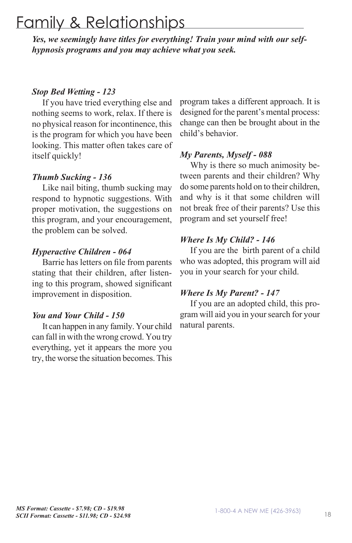# Family & Relationships

*Yes, we seemingly have titles for everything! Train your mind with our selfhypnosis programs and you may achieve what you seek.*

### *Stop Bed Wetting - 123*

If you have tried everything else and nothing seems to work, relax. If there is no physical reason for incontinence, this is the program for which you have been looking. This matter often takes care of itself quickly!

### *Thumb Sucking - 136*

Like nail biting, thumb sucking may respond to hypnotic suggestions. With proper motivation, the suggestions on this program, and your encouragement, the problem can be solved.

### *Hyperactive Children - 064*

Barrie has letters on file from parents stating that their children, after listening to this program, showed significant improvement in disposition.

#### *You and Your Child - 150*

It can happen in any family. Your child can fall in with the wrong crowd. You try everything, yet it appears the more you try, the worse the situation becomes. This program takes a different approach. It is designed for the parent's mental process: change can then be brought about in the child's behavior.

### *My Parents, Myself - 088*

Why is there so much animosity between parents and their children? Why do some parents hold on to their children, and why is it that some children will not break free of their parents? Use this program and set yourself free!

### *Where Is My Child? - 146*

If you are the birth parent of a child who was adopted, this program will aid you in your search for your child.

#### *Where Is My Parent? - 147*

If you are an adopted child, this program will aid you in your search for your natural parents.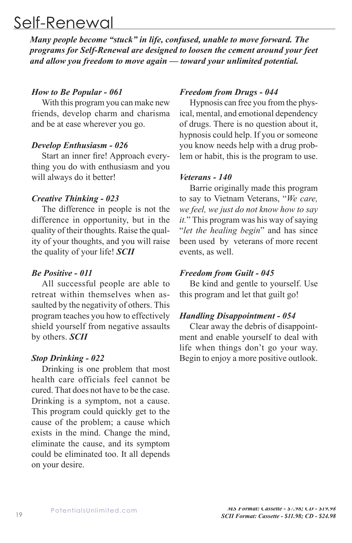# Self-Renewal

*Many people become "stuck" in life, confused, unable to move forward. The programs for Self-Renewal are designed to loosen the cement around your feet and allow you freedom to move again — toward your unlimited potential.* 

#### *How to Be Popular - 061*

With this program you can make new friends, develop charm and charisma and be at ease wherever you go.

#### *Develop Enthusiasm - 026*

Start an inner fire! Approach everything you do with enthusiasm and you will always do it better!

#### *Creative Thinking - 023*

The difference in people is not the difference in opportunity, but in the quality of their thoughts. Raise the quality of your thoughts, and you will raise the quality of your life! *SCII*

#### *Be Positive - 011*

All successful people are able to retreat within themselves when assaulted by the negativity of others. This program teaches you how to effectively shield yourself from negative assaults by others. *SCII*

#### *Stop Drinking - 022*

Drinking is one problem that most health care officials feel cannot be cured. That does not have to be the case. Drinking is a symptom, not a cause. This program could quickly get to the cause of the problem; a cause which exists in the mind. Change the mind, eliminate the cause, and its symptom could be eliminated too. It all depends on your desire.

#### *Freedom from Drugs - 044*

Hypnosis can free you from the physical, mental, and emotional dependency of drugs. There is no question about it, hypnosis could help. If you or someone you know needs help with a drug problem or habit, this is the program to use.

#### *Veterans - 140*

Barrie originally made this program to say to Vietnam Veterans, "*We care, we feel, we just do not know how to say it.*" This program was his way of saying "*let the healing begin*" and has since been used by veterans of more recent events, as well.

#### *Freedom from Guilt - 045*

Be kind and gentle to yourself. Use this program and let that guilt go!

#### *Handling Disappointment - 054*

Clear away the debris of disappointment and enable yourself to deal with life when things don't go your way. Begin to enjoy a more positive outlook.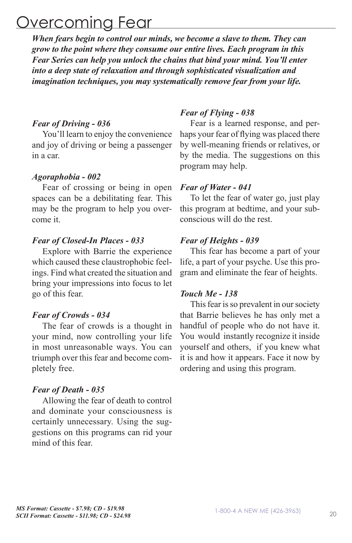# Overcoming Fear

*When fears begin to control our minds, we become a slave to them. They can grow to the point where they consume our entire lives. Each program in this Fear Series can help you unlock the chains that bind your mind. You'll enter into a deep state of relaxation and through sophisticated visualization and imagination techniques, you may systematically remove fear from your life.* 

#### *Fear of Driving - 036*

You'll learn to enjoy the convenience and joy of driving or being a passenger in a car.

#### *Agoraphobia - 002*

Fear of crossing or being in open spaces can be a debilitating fear. This may be the program to help you overcome it.

#### *Fear of Closed-In Places - 033*

Explore with Barrie the experience which caused these claustrophobic feelings. Find what created the situation and bring your impressions into focus to let go of this fear.

#### *Fear of Crowds - 034*

The fear of crowds is a thought in your mind, now controlling your life in most unreasonable ways. You can triumph over this fear and become completely free.

#### *Fear of Death - 035*

Allowing the fear of death to control and dominate your consciousness is certainly unnecessary. Using the suggestions on this programs can rid your mind of this fear.

#### *Fear of Flying - 038*

Fear is a learned response, and perhaps your fear of flying was placed there by well-meaning friends or relatives, or by the media. The suggestions on this program may help.

#### *Fear of Water - 041*

To let the fear of water go, just play this program at bedtime, and your subconscious will do the rest.

#### *Fear of Heights - 039*

This fear has become a part of your life, a part of your psyche. Use this program and eliminate the fear of heights.

#### *Touch Me - 138*

This fear is so prevalent in our society that Barrie believes he has only met a handful of people who do not have it. You would instantly recognize it inside yourself and others, if you knew what it is and how it appears. Face it now by ordering and using this program.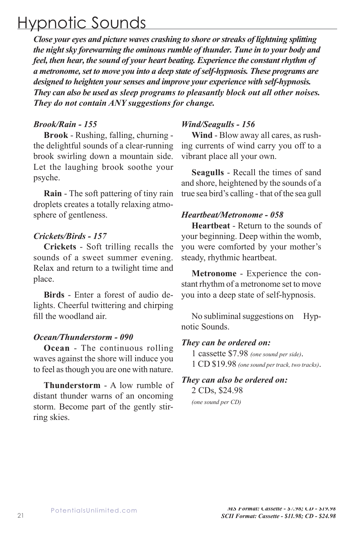# Hypnotic Sounds

*Close your eyes and picture waves crashing to shore or streaks of lightning splitting the night sky forewarning the ominous rumble of thunder. Tune in to your body and feel, then hear, the sound of your heart beating. Experience the constant rhythm of a metronome, set to move you into a deep state of self-hypnosis. These programs are designed to heighten your senses and improve your experience with self-hypnosis. They can also be used as sleep programs to pleasantly block out all other noises. They do not contain ANY suggestions for change.* 

#### *Brook/Rain - 155*

**Brook** - Rushing, falling, churning the delightful sounds of a clear-running brook swirling down a mountain side. Let the laughing brook soothe your psyche.

**Rain** - The soft pattering of tiny rain droplets creates a totally relaxing atmosphere of gentleness.

#### *Crickets/Birds - 157*

**Crickets** - Soft trilling recalls the sounds of a sweet summer evening. Relax and return to a twilight time and place.

**Birds** - Enter a forest of audio delights. Cheerful twittering and chirping fill the woodland air.

#### *Ocean/Thunderstorm - 090*

**Ocean** - The continuous rolling waves against the shore will induce you to feel as though you are one with nature.

**Thunderstorm** - A low rumble of distant thunder warns of an oncoming storm. Become part of the gently stirring skies.

#### *Wind/Seagulls - 156*

**Wind** - Blow away all cares, as rushing currents of wind carry you off to a vibrant place all your own.

**Seagulls** - Recall the times of sand and shore, heightened by the sounds of a true sea bird's calling - that of the sea gull

#### *Heartbeat/Metronome - 058*

**Heartbeat** - Return to the sounds of your beginning. Deep within the womb, you were comforted by your mother's steady, rhythmic heartbeat.

**Metronome** - Experience the constant rhythm of a metronome set to move you into a deep state of self-hypnosis.

No subliminal suggestions on Hypnotic Sounds.

#### *They can be ordered on:*

1 cassette \$7.98 *(one sound per side)*. 1 CD \$19.98 *(one sound per track, two tracks)*.

#### *They can also be ordered on:* 2 CDs, \$24.98

*(one sound per CD)*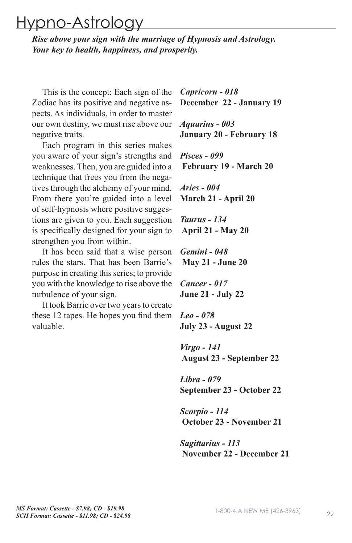# Hypno-Astrology

*Rise above your sign with the marriage of Hypnosis and Astrology. Your key to health, happiness, and prosperity.* 

This is the concept: Each sign of the Zodiac has its positive and negative aspects. As individuals, in order to master our own destiny, we must rise above our negative traits.

Each program in this series makes you aware of your sign's strengths and weaknesses. Then, you are guided into a technique that frees you from the negatives through the alchemy of your mind. From there you're guided into a level of self-hypnosis where positive suggestions are given to you. Each suggestion is specifically designed for your sign to strengthen you from within.

It has been said that a wise person rules the stars. That has been Barrie's purpose in creating this series; to provide you with the knowledge to rise above the turbulence of your sign.

It took Barrie over two years to create these 12 tapes. He hopes you find them valuable.

*Capricorn - 018* **December 22 - January 19**

*Aquarius - 003* **January 20 - February 18**

*Pisces - 099*  **February 19 - March 20**

*Aries - 004* **March 21 - April 20**

*Taurus - 134*  **April 21 - May 20**

*Gemini - 048*  **May 21 - June 20**

*Cancer - 017* **June 21 - July 22**

*Leo - 078* **July 23 - August 22**

*Virgo - 141*  **August 23 - September 22**

*Libra - 079*  **September 23 - October 22**

*Scorpio - 114*  **October 23 - November 21**

*Sagittarius - 113*  **November 22 - December 21**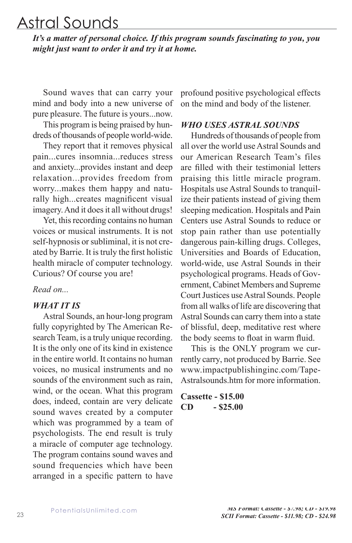# Astral Sounds

*It's a matter of personal choice. If this program sounds fascinating to you, you might just want to order it and try it at home.*

Sound waves that can carry your mind and body into a new universe of pure pleasure. The future is yours...now.

This program is being praised by hundreds of thousands of people world-wide.

They report that it removes physical pain...cures insomnia...reduces stress and anxiety...provides instant and deep relaxation...provides freedom from worry...makes them happy and naturally high...creates magnificent visual imagery. And it does it all without drugs!

Yet, this recording contains no human voices or musical instruments. It is not self-hypnosis or subliminal, it is not created by Barrie. It is truly the first holistic health miracle of computer technology. Curious? Of course you are!

*Read on...*

#### *WHAT IT IS*

Astral Sounds, an hour-long program fully copyrighted by The American Research Team, is a truly unique recording. It is the only one of its kind in existence in the entire world. It contains no human voices, no musical instruments and no sounds of the environment such as rain, wind, or the ocean. What this program does, indeed, contain are very delicate sound waves created by a computer which was programmed by a team of psychologists. The end result is truly a miracle of computer age technology. The program contains sound waves and sound frequencies which have been arranged in a specific pattern to have profound positive psychological effects on the mind and body of the listener.

#### *WHO USES ASTRAL SOUNDS*

Hundreds of thousands of people from all over the world use Astral Sounds and our American Research Team's files are filled with their testimonial letters praising this little miracle program. Hospitals use Astral Sounds to tranquilize their patients instead of giving them sleeping medication. Hospitals and Pain Centers use Astral Sounds to reduce or stop pain rather than use potentially dangerous pain-killing drugs. Colleges, Universities and Boards of Education, world-wide, use Astral Sounds in their psychological programs. Heads of Government, Cabinet Members and Supreme Court Justices use Astral Sounds. People from all walks of life are discovering that Astral Sounds can carry them into a state of blissful, deep, meditative rest where the body seems to float in warm fluid.

This is the ONLY program we currently carry, not produced by Barrie. See www.impactpublishinginc.com/Tape-Astralsounds.htm for more information.

**Cassette - \$15.00 CD - \$25.00**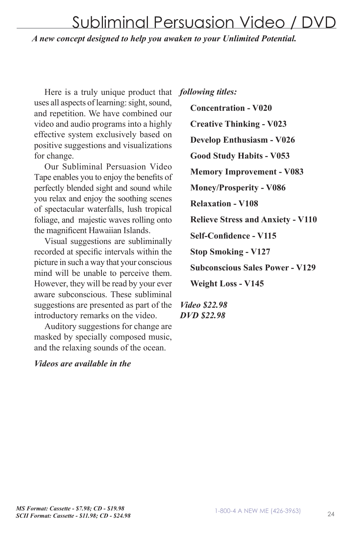# Subliminal Persuasion Video / DVD

*A new concept designed to help you awaken to your Unlimited Potential.*

Here is a truly unique product that uses all aspects of learning: sight, sound, and repetition. We have combined our video and audio programs into a highly effective system exclusively based on positive suggestions and visualizations for change.

Our Subliminal Persuasion Video Tape enables you to enjoy the benefits of perfectly blended sight and sound while you relax and enjoy the soothing scenes of spectacular waterfalls, lush tropical foliage, and majestic waves rolling onto the magnificent Hawaiian Islands.

Visual suggestions are subliminally recorded at specific intervals within the picture in such a way that your conscious mind will be unable to perceive them. However, they will be read by your ever aware subconscious. These subliminal suggestions are presented as part of the introductory remarks on the video.

Auditory suggestions for change are masked by specially composed music, and the relaxing sounds of the ocean.

#### *Videos are available in the*

*following titles:*

**Concentration - V020 Creative Thinking - V023 Develop Enthusiasm - V026 Good Study Habits - V053 Memory Improvement - V083 Money/Prosperity - V086 Relaxation - V108 Relieve Stress and Anxiety - V110 Self-Confidence - V115 Stop Smoking - V127 Subconscious Sales Power - V129 Weight Loss - V145**

*Video \$22.98 DVD \$22.98*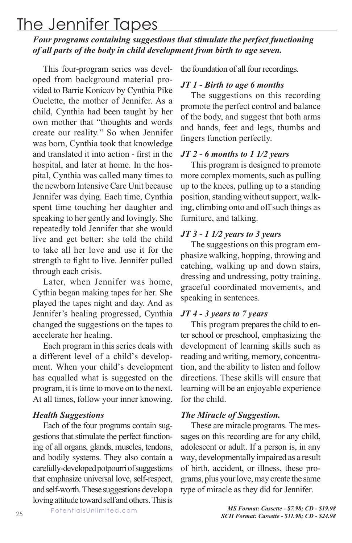# The Jennifer Tapes

### *Four programs containing suggestions that stimulate the perfect functioning of all parts of the body in child development from birth to age seven.*

This four-program series was developed from background material provided to Barrie Konicov by Cynthia Pike Ouelette, the mother of Jennifer. As a child, Cynthia had been taught by her own mother that "thoughts and words create our reality." So when Jennifer was born, Cynthia took that knowledge and translated it into action - first in the hospital, and later at home. In the hospital, Cynthia was called many times to the newborn Intensive Care Unit because Jennifer was dying. Each time, Cynthia spent time touching her daughter and speaking to her gently and lovingly. She repeatedly told Jennifer that she would live and get better: she told the child to take all her love and use it for the strength to fight to live. Jennifer pulled through each crisis.

Later, when Jennifer was home, Cythia began making tapes for her. She played the tapes night and day. And as Jennifer's healing progressed, Cynthia changed the suggestions on the tapes to accelerate her healing.

Each program in this series deals with a different level of a child's development. When your child's development has equalled what is suggested on the program, it is time to move on to the next. At all times, follow your inner knowing.

#### *Health Suggestions*

Each of the four programs contain suggestions that stimulate the perfect functioning of all organs, glands, muscles, tendons, and bodily systems. They also contain a carefully-developed potpourri of suggestions that emphasize universal love, self-respect, and self-worth. These suggestions develop a loving attitude toward self and others. This is the foundation of all four recordings.

#### *JT 1 - Birth to age 6 months*

The suggestions on this recording promote the perfect control and balance of the body, and suggest that both arms and hands, feet and legs, thumbs and fingers function perfectly.

#### *JT 2 - 6 months to 1 1/2 years*

This program is designed to promote more complex moments, such as pulling up to the knees, pulling up to a standing position, standing without support, walking, climbing onto and off such things as furniture, and talking.

#### *JT 3 - 1 1/2 years to 3 years*

The suggestions on this program emphasize walking, hopping, throwing and catching, walking up and down stairs, dressing and undressing, potty training, graceful coordinated movements, and speaking in sentences.

#### *JT 4 - 3 years to 7 years*

This program prepares the child to enter school or preschool, emphasizing the development of learning skills such as reading and writing, memory, concentration, and the ability to listen and follow directions. These skills will ensure that learning will be an enjoyable experience for the child.

#### *The Miracle of Suggestion.*

These are miracle programs. The messages on this recording are for any child, adolescent or adult. If a person is, in any way, developmentally impaired as a result of birth, accident, or illness, these programs, plus your love, may create the same type of miracle as they did for Jennifer.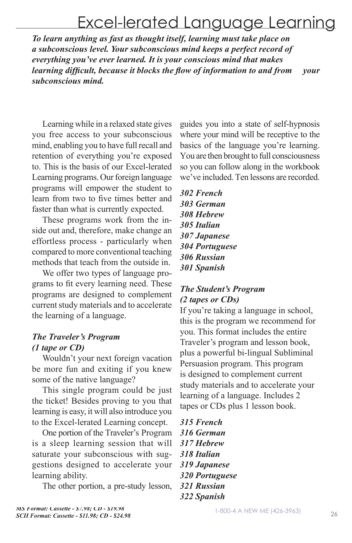# Excel-lerated Language Learning

*To learn anything as fast as thought itself, learning must take place on a subconscious level. Your subconscious mind keeps a perfect record of everything you've ever learned. It is your conscious mind that makes learning difficult, because it blocks the flow of information to and from your subconscious mind.* 

Learning while in a relaxed state gives you free access to your subconscious mind, enabling you to have full recall and retention of everything you're exposed to. This is the basis of our Excel-lerated Learning programs. Our foreign language programs will empower the student to learn from two to five times better and faster than what is currently expected.

These programs work from the inside out and, therefore, make change an effortless process - particularly when compared to more conventional teaching methods that teach from the outside in.

We offer two types of language programs to fit every learning need. These programs are designed to complement current study materials and to accelerate the learning of a language.

# *The Traveler's Program (1 tape or CD)*

Wouldn't your next foreign vacation be more fun and exiting if you knew some of the native language?

This single program could be just the ticket! Besides proving to you that learning is easy, it will also introduce you to the Excel-lerated Learning concept.

One portion of the Traveler's Program is a sleep learning session that will saturate your subconscious with suggestions designed to accelerate your learning ability.

The other portion, a pre-study lesson,

guides you into a state of self-hypnosis where your mind will be receptive to the basics of the language you're learning. You are then brought to full consciousness so you can follow along in the workbook we've included. Ten lessons are recorded.

*302 French 303 German 308 Hebrew 305 Italian 307 Japanese 304 Portuguese 306 Russian 301 Spanish*

### *The Student's Program (2 tapes or CDs)*

If you're taking a language in school, this is the program we recommend for you. This format includes the entire Traveler's program and lesson book, plus a powerful bi-lingual Subliminal Persuasion program. This program is designed to complement current study materials and to accelerate your learning of a language. Includes 2 tapes or CDs plus 1 lesson book.

*315 French 316 German 317 Hebrew 318 Italian 319 Japanese 320 Portuguese 321 Russian 322 Spanish*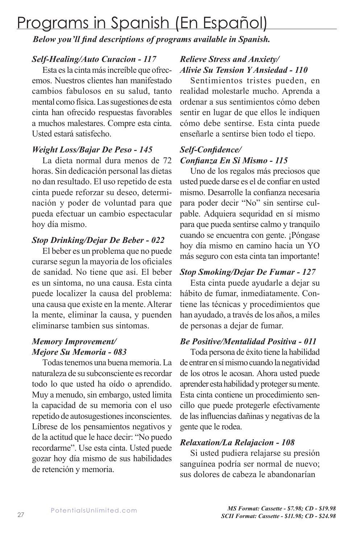# Programs in Spanish (En Español)

*Below you'll find descriptions of programs available in Spanish.* 

### *Self-Healing/Auto Curacion - 117*

Esta es la cinta más increíble que ofrecemos. Nuestros clientes han manifestado cambios fabulosos en su salud, tanto mental como física. Las sugestiones de esta cinta han ofrecido respuestas favorables a muchos malestares. Compre esta cinta. Usted estará satisfecho.

### *Weight Loss/Bajar De Peso - 145*

La dieta normal dura menos de 72 horas. Sin dedicación personal las dietas no dan resultado. El uso repetido de esta cinta puede reforzar su deseo, determinación y poder de voluntad para que pueda efectuar un cambio espectacular hoy día mismo.

### *Stop Drinking/Dejar De Beber - 022*

El beber es un problema que no puede curarse segun la mayoria de los oficiales de sanidad. No tiene que asi. El beber es un sintoma, no una causa. Esta cinta puede localizer la causa del problema: una causa que existe en la mente. Alterar la mente, eliminar la causa, y puenden eliminarse tambien sus sintomas.

# *Memory Improvement/ Mejore Su Memoria - 083*

Todas tenemos una buena memoria. La naturaleza de su subconsciente es recordar todo lo que usted ha oído o aprendido. Muy a menudo, sin embargo, usted limita la capacidad de su memoria con el uso repetido de autosugestiones inconscientes. Líbrese de los pensamientos negativos y de la actitud que le hace decir: "No puedo recordarme". Use esta cinta. Usted puede gozar hoy día mismo de sus habilidades de retención y memoria.

# *Relieve Stress and Anxiety/ Alivie Su Tension Y Ansiedad - 110*

Sentimientos tristes pueden, en realidad molestarle mucho. Aprenda a ordenar a sus sentimientos cómo deben sentir en lugar de que ellos le indiquen cómo debe sentirse. Esta cinta puede enseñarle a sentirse bien todo el tiepo.

### *Self-Confidence/ Confianza En Si Mismo - 115*

Uno de los regalos más preciosos que usted puede darse es el de confiar en usted mismo. Desarrolle la confianza necesaria para poder decir "No" sin sentirse culpable. Adquiera sequridad en sí mismo para que pueda sentirse calmo y tranquilo cuando se encuentra con gente. ¡Póngase hoy día mismo en camino hacia un YO más seguro con esta cinta tan importante!

# *Stop Smoking/Dejar De Fumar - 127*

Esta cinta puede ayudarle a dejar su hábito de fumar, inmediatamente. Contiene las técnicas y procedimientos que han ayudado, a través de los años, a miles de personas a dejar de fumar.

### *Be Positive/Mentalidad Positiva - 011*

Toda persona de éxito tiene la habilidad de entrar en sí mismo cuando la negatividad de los otros le acosan. Ahora usted puede aprender esta habilidad y proteger su mente. Esta cinta contiene un procedimiento sencillo que puede protegerle efectivamente de las influencias dañinas y negativas de la gente que le rodea.

### *Relaxation/La Relajacion - 108*

Si usted pudiera relajarse su presión sanguínea podría ser normal de nuevo; sus dolores de cabeza le abandonarían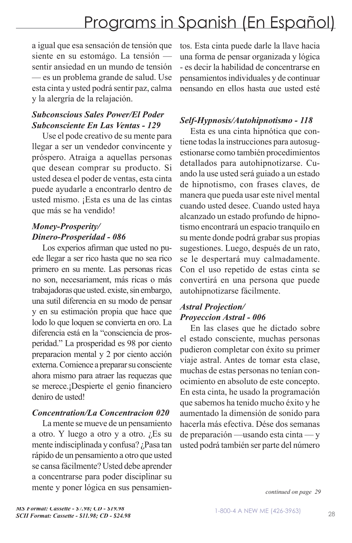a igual que esa sensación de tensión que siente en su estomágo. La tensión sentir ansiedad en un mundo de tensión — es un problema grande de salud. Use esta cinta y usted podrá sentir paz, calma y la alergría de la relajación.

### *Subconscious Sales Power/El Poder Subconsciente En Las Ventas - 129*

Use el pode creativo de su mente para llegar a ser un vendedor convincente y próspero. Atraiga a aquellas personas que desean comprar su producto. Si usted desea el poder de ventas, esta cinta puede ayudarle a encontrarlo dentro de usted mismo. ¡Esta es una de las cintas que más se ha vendido!

# *Money-Prosperity/ Dinero-Prosperidad - 086*

Los experios afirman que usted no puede llegar a ser rico hasta que no sea rico primero en su mente. Las personas ricas no son, necesariament, más ricas o más trabajadoras que usted. existe, sin embargo, una sutil diferencia en su modo de pensar y en su estimación propia que hace que lodo lo que loquen se convierta en oro. La diferencia está en la "consciencia de prosperidad." La prosperidad es 98 por ciento preparacion mental y 2 por ciento acción externa. Comience a preparar su consciente ahora mismo para atraer las requezas que se merece.¡Despierte el genio financiero deniro de usted!

### *Concentration/La Concentracion 020*

La mente se mueve de un pensamiento a otro. Y luego a otro y a otro. ¿Es su mente indisciplinada y confusa? ¿Pasa tan rápido de un pensamiento a otro que usted se cansa fácilmente? Usted debe aprender a concentrarse para poder disciplinar su mente y poner lógica en sus pensamientos. Esta cinta puede darle la llave hacia una forma de pensar organizada y lógica - es decir la habilidad de concentrarse en pensamientos individuales y de continuar pensando en ellos hasta que usted esté

# *Self-Hypnosis/Autohipnotismo - 118*

Esta es una cinta hipnótica que contiene todas la instrucciones para autosugestionarse como también procedimientos detallados para autohipnotizarse. Cuando la use usted será guiado a un estado de hipnotismo, con frases claves, de manera que pueda usar este nivel mental cuando usted desee. Cuando usted haya alcanzado un estado profundo de hipnotismo encontrará un espacio tranquilo en su mente donde podrá grabar sus propias sugestiones. Luego, después de un rato, se le despertará muy calmadamente. Con el uso repetido de estas cinta se convertirá en una persona que puede autohipnotizarse fácilmente.

### *Astral Projection/ Proyeccion Astral - 006*

En las clases que he dictado sobre el estado consciente, muchas personas pudieron completar con éxito su primer viaje astral. Antes de tomar esta clase, muchas de estas personas no tenían conocimiento en absoluto de este concepto. En esta cinta, he usado la programación que sabemos ha tenido mucho éxito y he aumentado la dimensión de sonido para hacerla más efectiva. Dése dos semanas de preparación —usando esta cinta — y usted podrá también ser parte del número

*continued on page 29*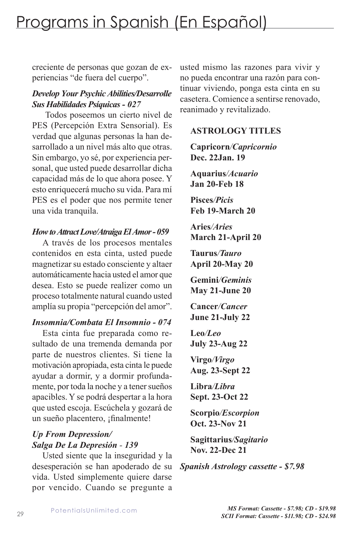creciente de personas que gozan de experiencias "de fuera del cuerpo".

### *Develop Your Psychic Abilities/Desarrolle Sus Habilidades Psíquicas - 027*

 Todos poseemos un cierto nivel de PES (Percepción Extra Sensorial). Es verdad que algunas personas la han desarrollado a un nivel más alto que otras. Sin embargo, yo sé, por experiencia personal, que usted puede desarrollar dicha capacidad más de lo que ahora posee. Y esto enriquecerá mucho su vida. Para mí PES es el poder que nos permite tener una vida tranquila.

#### *How to Attract Love/Atraiga El Amor - 059*

A través de los procesos mentales contenidos en esta cinta, usted puede magnetizar su estado consciente y altaer automáticamente hacia usted el amor que desea. Esto se puede realizer como un proceso totalmente natural cuando usted amplía su propia "percepción del amor".

### *Insomnia/Combata El Insomnio - 074*

Esta cinta fue preparada como resultado de una tremenda demanda por parte de nuestros clientes. Si tiene la motivación apropiada, esta cinta le puede ayudar a dormir, y a dormir profundamente, por toda la noche y a tener sueños apacibles. Y se podrá despertar a la hora que usted escoja. Escúchela y gozará de un sueño placentero, ¡finalmente!

# *Up From Depression/ Salga De La Depresión - 139*

Usted siente que la inseguridad y la desesperación se han apoderado de su vida. Usted simplemente quiere darse por vencido. Cuando se pregunte a

usted mismo las razones para vivir y no pueda encontrar una razón para continuar viviendo, ponga esta cinta en su casetera. Comience a sentirse renovado, reanimado y revitalizado.

### **ASTROLOGY TITLES**

**Capricorn***/Capricornio*  **Dec. 22Jan. 19** 

**Aquarius***/Acuario*  **Jan 20-Feb 18** 

**Pisces***/Picis* **Feb 19-March 20** 

**Aries***/Aries* **March 21-April 20** 

**Taurus***/Tauro* **April 20-May 20** 

**Gemini***/Geminis*  **May 21-June 20** 

**Cancer***/Cancer*  **June 21-July 22** 

**Leo***/Leo*  **July 23-Aug 22** 

**Virgo***/Virgo*  **Aug. 23-Sept 22** 

**Libra***/Libra*  **Sept. 23-Oct 22** 

**Scorpio***/Escorpion*  **Oct. 23-Nov 21** 

**Sagittarius***/Sagitario* **Nov. 22-Dec 21** 

*Spanish Astrology cassette - \$7.98*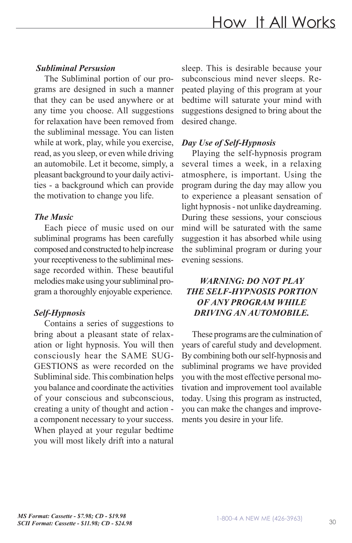#### *Subliminal Persusion*

The Subliminal portion of our programs are designed in such a manner that they can be used anywhere or at any time you choose. All suggestions for relaxation have been removed from the subliminal message. You can listen while at work, play, while you exercise, read, as you sleep, or even while driving an automobile. Let it become, simply, a pleasant background to your daily activities - a background which can provide the motivation to change you life.

#### *The Music*

Each piece of music used on our subliminal programs has been carefully composed and constructed to help increase your receptiveness to the subliminal message recorded within. These beautiful melodies make using your subliminal program a thoroughly enjoyable experience.

#### *Self-Hypnosis*

Contains a series of suggestions to bring about a pleasant state of relaxation or light hypnosis. You will then consciously hear the SAME SUG-GESTIONS as were recorded on the Subliminal side. This combination helps you balance and coordinate the activities of your conscious and subconscious, creating a unity of thought and action a component necessary to your success. When played at your regular bedtime you will most likely drift into a natural sleep. This is desirable because your subconscious mind never sleeps. Repeated playing of this program at your bedtime will saturate your mind with suggestions designed to bring about the desired change.

### *Day Use of Self-Hypnosis*

Playing the self-hypnosis program several times a week, in a relaxing atmosphere, is important. Using the program during the day may allow you to experience a pleasant sensation of light hypnosis - not unlike daydreaming. During these sessions, your conscious mind will be saturated with the same suggestion it has absorbed while using the subliminal program or during your evening sessions.

### *WARNING: DO NOT PLAY THE SELF-HYPNOSIS PORTION OF ANY PROGRAM WHILE DRIVING AN AUTOMOBILE.*

These programs are the culmination of years of careful study and development. By combining both our self-hypnosis and subliminal programs we have provided you with the most effective personal motivation and improvement tool available today. Using this program as instructed, you can make the changes and improvements you desire in your life.